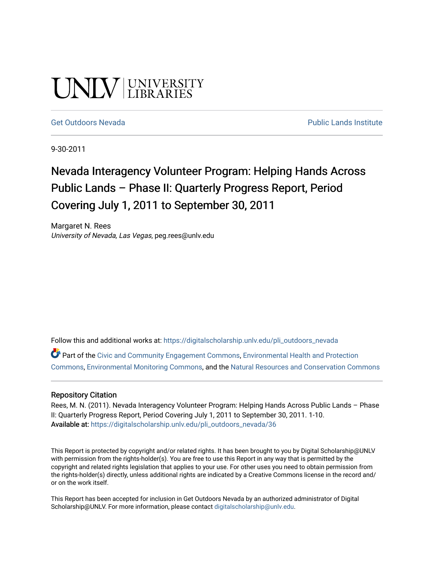# UNIV UNIVERSITY

#### [Get Outdoors Nevada](https://digitalscholarship.unlv.edu/pli_outdoors_nevada) **Public Lands Institute** Public Lands Institute

9-30-2011

# Nevada Interagency Volunteer Program: Helping Hands Across Public Lands – Phase II: Quarterly Progress Report, Period Covering July 1, 2011 to September 30, 2011

Margaret N. Rees University of Nevada, Las Vegas, peg.rees@unlv.edu

Follow this and additional works at: [https://digitalscholarship.unlv.edu/pli\\_outdoors\\_nevada](https://digitalscholarship.unlv.edu/pli_outdoors_nevada?utm_source=digitalscholarship.unlv.edu%2Fpli_outdoors_nevada%2F36&utm_medium=PDF&utm_campaign=PDFCoverPages)

Part of the [Civic and Community Engagement Commons](http://network.bepress.com/hgg/discipline/1028?utm_source=digitalscholarship.unlv.edu%2Fpli_outdoors_nevada%2F36&utm_medium=PDF&utm_campaign=PDFCoverPages), [Environmental Health and Protection](http://network.bepress.com/hgg/discipline/172?utm_source=digitalscholarship.unlv.edu%2Fpli_outdoors_nevada%2F36&utm_medium=PDF&utm_campaign=PDFCoverPages)  [Commons](http://network.bepress.com/hgg/discipline/172?utm_source=digitalscholarship.unlv.edu%2Fpli_outdoors_nevada%2F36&utm_medium=PDF&utm_campaign=PDFCoverPages), [Environmental Monitoring Commons,](http://network.bepress.com/hgg/discipline/931?utm_source=digitalscholarship.unlv.edu%2Fpli_outdoors_nevada%2F36&utm_medium=PDF&utm_campaign=PDFCoverPages) and the [Natural Resources and Conservation Commons](http://network.bepress.com/hgg/discipline/168?utm_source=digitalscholarship.unlv.edu%2Fpli_outdoors_nevada%2F36&utm_medium=PDF&utm_campaign=PDFCoverPages)

#### Repository Citation

Rees, M. N. (2011). Nevada Interagency Volunteer Program: Helping Hands Across Public Lands – Phase II: Quarterly Progress Report, Period Covering July 1, 2011 to September 30, 2011. 1-10. Available at: [https://digitalscholarship.unlv.edu/pli\\_outdoors\\_nevada/36](https://digitalscholarship.unlv.edu/pli_outdoors_nevada/36) 

This Report is protected by copyright and/or related rights. It has been brought to you by Digital Scholarship@UNLV with permission from the rights-holder(s). You are free to use this Report in any way that is permitted by the copyright and related rights legislation that applies to your use. For other uses you need to obtain permission from the rights-holder(s) directly, unless additional rights are indicated by a Creative Commons license in the record and/ or on the work itself.

This Report has been accepted for inclusion in Get Outdoors Nevada by an authorized administrator of Digital Scholarship@UNLV. For more information, please contact [digitalscholarship@unlv.edu.](mailto:digitalscholarship@unlv.edu)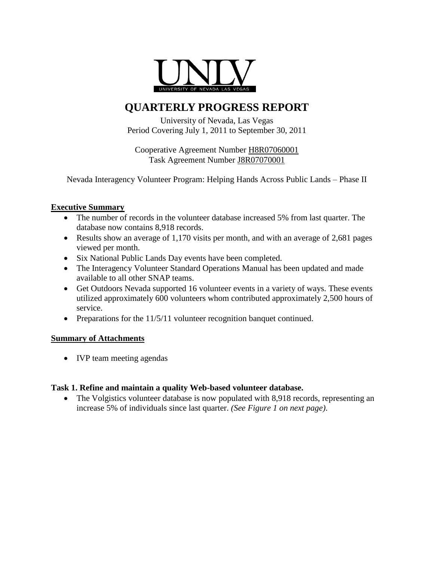

# **QUARTERLY PROGRESS REPORT**

University of Nevada, Las Vegas Period Covering July 1, 2011 to September 30, 2011

Cooperative Agreement Number H8R07060001 Task Agreement Number J8R07070001

Nevada Interagency Volunteer Program: Helping Hands Across Public Lands – Phase II

# **Executive Summary**

- The number of records in the volunteer database increased 5% from last quarter. The database now contains 8,918 records.
- Results show an average of 1,170 visits per month, and with an average of 2,681 pages viewed per month.
- Six National Public Lands Day events have been completed.
- The Interagency Volunteer Standard Operations Manual has been updated and made available to all other SNAP teams.
- Get Outdoors Nevada supported 16 volunteer events in a variety of ways. These events utilized approximately 600 volunteers whom contributed approximately 2,500 hours of service.
- Preparations for the 11/5/11 volunteer recognition banquet continued.

# **Summary of Attachments**

• IVP team meeting agendas

# **Task 1. Refine and maintain a quality Web-based volunteer database.**

• The Volgistics volunteer database is now populated with 8,918 records, representing an increase 5% of individuals since last quarter. *(See Figure 1 on next page)*.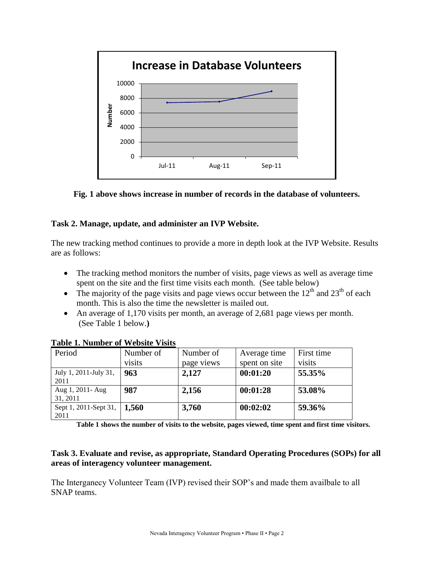

**Fig. 1 above shows increase in number of records in the database of volunteers.**

# **Task 2. Manage, update, and administer an IVP Website.**

The new tracking method continues to provide a more in depth look at the IVP Website. Results are as follows:

- The tracking method monitors the number of visits, page views as well as average time spent on the site and the first time visits each month. (See table below)
- The majority of the page visits and page views occur between the  $12<sup>th</sup>$  and  $23<sup>th</sup>$  of each month. This is also the time the newsletter is mailed out.
- An average of 1,170 visits per month, an average of 2,681 page views per month. (See Table 1 below.**)**

| Period                               | Number of | Number of  | Average time  | First time |
|--------------------------------------|-----------|------------|---------------|------------|
|                                      | visits    | page views | spent on site | visits     |
| July 1, 2011-July 31,                | 963       | 2,127      | 00:01:20      | 55.35%     |
| 2011                                 |           |            |               |            |
| Aug 1, 2011- Aug                     | 987       | 2,156      | 00:01:28      | 53.08%     |
| 31, 2011                             |           |            |               |            |
| Sept 1, 2011-Sept 31,   <b>1,560</b> |           | 3,760      | 00:02:02      | 59.36%     |
| 2011                                 |           |            |               |            |

**Table 1. Number of Website Visits**

**Table 1 shows the number of visits to the website, pages viewed, time spent and first time visitors.**

# **Task 3. Evaluate and revise, as appropriate, Standard Operating Procedures (SOPs) for all areas of interagency volunteer management.**

The Interganecy Volunteer Team (IVP) revised their SOP's and made them availbale to all SNAP teams.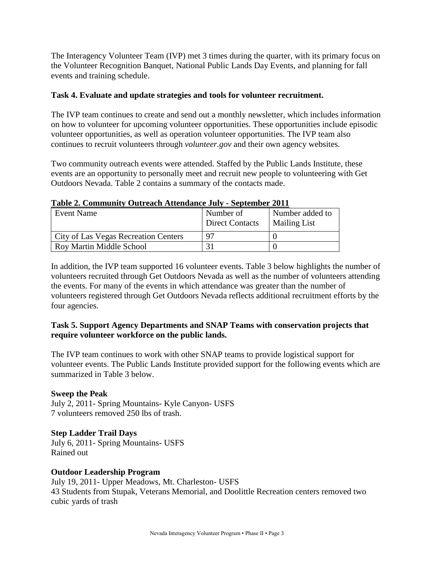The Interagency Volunteer Team (IVP) met 3 times during the quarter, with its primary focus on the Volunteer Recognition Banquet, National Public Lands Day Events, and planning for fall events and training schedule.

## **Task 4. Evaluate and update strategies and tools for volunteer recruitment.**

The IVP team continues to create and send out a monthly newsletter, which includes information on how to volunteer for upcoming volunteer opportunities. These opportunities include episodic volunteer opportunities, as well as operation volunteer opportunities. The IVP team also continues to recruit volunteers through *volunteer.gov* and their own agency websites.

Two community outreach events were attended. Staffed by the Public Lands Institute, these events are an opportunity to personally meet and recruit new people to volunteering with Get Outdoors Nevada. Table 2 contains a summary of the contacts made.

| TANIT SI OGHALLARINI OMN CACHITERINING OM H |                                     |                                        |
|---------------------------------------------|-------------------------------------|----------------------------------------|
| Event Name                                  | Number of<br><b>Direct Contacts</b> | Number added to<br><b>Mailing List</b> |
| City of Las Vegas Recreation Centers        | 97                                  |                                        |
| Roy Martin Middle School                    |                                     |                                        |

#### **Table 2. Community Outreach Attendance July - September 2011**

In addition, the IVP team supported 16 volunteer events. Table 3 below highlights the number of volunteers recruited through Get Outdoors Nevada as well as the number of volunteers attending the events. For many of the events in which attendance was greater than the number of volunteers registered through Get Outdoors Nevada reflects additional recruitment efforts by the four agencies.

# **Task 5. Support Agency Departments and SNAP Teams with conservation projects that require volunteer workforce on the public lands.**

The IVP team continues to work with other SNAP teams to provide logistical support for volunteer events. The Public Lands Institute provided support for the following events which are summarized in Table 3 below.

#### **Sweep the Peak**

July 2, 2011- Spring Mountains- Kyle Canyon- USFS 7 volunteers removed 250 lbs of trash.

# **Step Ladder Trail Days**

July 6, 2011- Spring Mountains- USFS Rained out

# **Outdoor Leadership Program**

July 19, 2011- Upper Meadows, Mt. Charleston- USFS 43 Students from Stupak, Veterans Memorial, and Doolittle Recreation centers removed two cubic yards of trash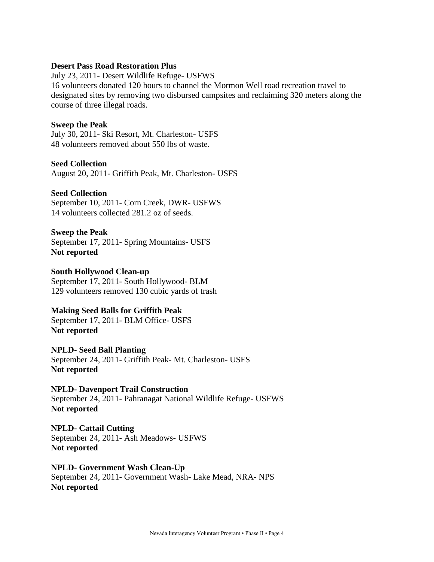#### **Desert Pass Road Restoration Plus**

July 23, 2011- Desert Wildlife Refuge- USFWS 16 volunteers donated 120 hours to channel the Mormon Well road recreation travel to designated sites by removing two disbursed campsites and reclaiming 320 meters along the course of three illegal roads.

#### **Sweep the Peak**

July 30, 2011- Ski Resort, Mt. Charleston- USFS 48 volunteers removed about 550 lbs of waste.

#### **Seed Collection**

August 20, 2011- Griffith Peak, Mt. Charleston- USFS

#### **Seed Collection**

September 10, 2011- Corn Creek, DWR- USFWS 14 volunteers collected 281.2 oz of seeds.

#### **Sweep the Peak**

September 17, 2011- Spring Mountains- USFS **Not reported**

#### **South Hollywood Clean-up**

September 17, 2011- South Hollywood- BLM 129 volunteers removed 130 cubic yards of trash

#### **Making Seed Balls for Griffith Peak**

September 17, 2011- BLM Office- USFS **Not reported**

# **NPLD- Seed Ball Planting**

September 24, 2011- Griffith Peak- Mt. Charleston- USFS **Not reported**

#### **NPLD- Davenport Trail Construction**

September 24, 2011- Pahranagat National Wildlife Refuge- USFWS **Not reported**

# **NPLD- Cattail Cutting**

September 24, 2011- Ash Meadows- USFWS **Not reported**

#### **NPLD- Government Wash Clean-Up**

September 24, 2011- Government Wash- Lake Mead, NRA- NPS **Not reported**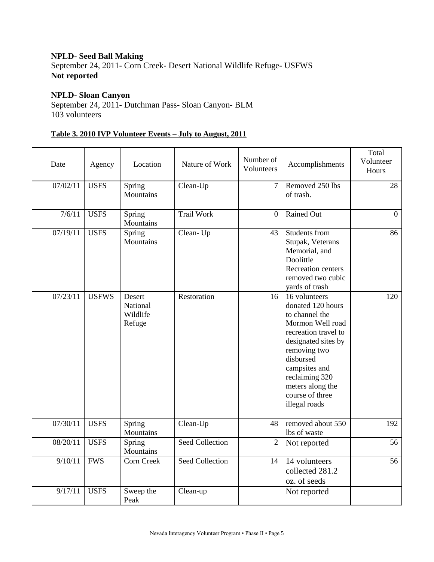## **NPLD- Seed Ball Making**

September 24, 2011- Corn Creek- Desert National Wildlife Refuge- USFWS **Not reported**

# **NPLD- Sloan Canyon**

September 24, 2011- Dutchman Pass- Sloan Canyon- BLM 103 volunteers

# **Table 3. 2010 IVP Volunteer Events – July to August, 2011**

| Date     | Agency       | Location                                 | Nature of Work         | Number of<br>Volunteers | Accomplishments                                                                                                                                                                                                                                 | Total<br>Volunteer<br>Hours |
|----------|--------------|------------------------------------------|------------------------|-------------------------|-------------------------------------------------------------------------------------------------------------------------------------------------------------------------------------------------------------------------------------------------|-----------------------------|
| 07/02/11 | <b>USFS</b>  | Spring<br>Mountains                      | Clean-Up               | $\overline{7}$          | Removed 250 lbs<br>of trash.                                                                                                                                                                                                                    | 28                          |
| 7/6/11   | <b>USFS</b>  | Spring<br>Mountains                      | <b>Trail Work</b>      | $\mathbf{0}$            | Rained Out                                                                                                                                                                                                                                      | $\mathbf{0}$                |
| 07/19/11 | <b>USFS</b>  | Spring<br>Mountains                      | Clean-Up               | 43                      | Students from<br>Stupak, Veterans<br>Memorial, and<br>Doolittle<br><b>Recreation centers</b><br>removed two cubic<br>yards of trash                                                                                                             | 86                          |
| 07/23/11 | <b>USFWS</b> | Desert<br>National<br>Wildlife<br>Refuge | Restoration            | 16                      | 16 volunteers<br>donated 120 hours<br>to channel the<br>Mormon Well road<br>recreation travel to<br>designated sites by<br>removing two<br>disbursed<br>campsites and<br>reclaiming 320<br>meters along the<br>course of three<br>illegal roads | 120                         |
| 07/30/11 | <b>USFS</b>  | Spring<br>Mountains                      | Clean-Up               | 48                      | removed about 550<br>lbs of waste                                                                                                                                                                                                               | 192                         |
| 08/20/11 | <b>USFS</b>  | Spring<br>Mountains                      | <b>Seed Collection</b> | $\overline{2}$          | Not reported                                                                                                                                                                                                                                    | 56                          |
| 9/10/11  | <b>FWS</b>   | Corn Creek                               | Seed Collection        | 14                      | 14 volunteers<br>collected 281.2<br>oz. of seeds                                                                                                                                                                                                | 56                          |
| 9/17/11  | <b>USFS</b>  | Sweep the<br>Peak                        | Clean-up               |                         | Not reported                                                                                                                                                                                                                                    |                             |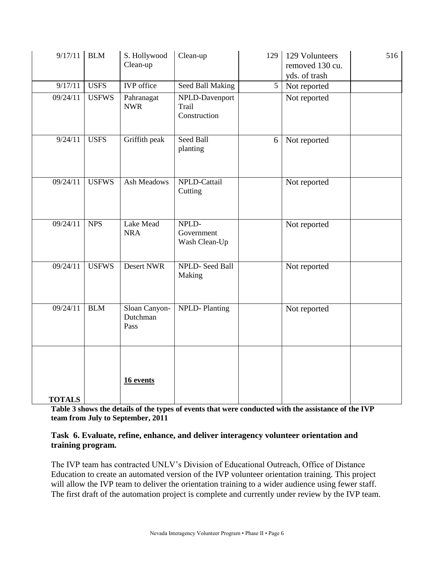| 9/17/11       | <b>BLM</b>   | S. Hollywood<br>Clean-up          | Clean-up                                | 129            | 129 Volunteers<br>removed 130 cu.<br>yds. of trash | 516 |
|---------------|--------------|-----------------------------------|-----------------------------------------|----------------|----------------------------------------------------|-----|
| 9/17/11       | <b>USFS</b>  | <b>IVP</b> office                 | Seed Ball Making                        | $\overline{5}$ | Not reported                                       |     |
| 09/24/11      | <b>USFWS</b> | Pahranagat<br><b>NWR</b>          | NPLD-Davenport<br>Trail<br>Construction |                | Not reported                                       |     |
| 9/24/11       | <b>USFS</b>  | Griffith peak                     | Seed Ball<br>planting                   | 6              | Not reported                                       |     |
| 09/24/11      | <b>USFWS</b> | <b>Ash Meadows</b>                | NPLD-Cattail<br>Cutting                 |                | Not reported                                       |     |
| 09/24/11      | <b>NPS</b>   | Lake Mead<br><b>NRA</b>           | NPLD-<br>Government<br>Wash Clean-Up    |                | Not reported                                       |     |
| 09/24/11      | <b>USFWS</b> | Desert NWR                        | NPLD-Seed Ball<br>Making                |                | Not reported                                       |     |
| 09/24/11      | <b>BLM</b>   | Sloan Canyon-<br>Dutchman<br>Pass | <b>NPLD-Planting</b>                    |                | Not reported                                       |     |
| <b>TOTALS</b> |              | 16 events                         |                                         |                |                                                    |     |

**Table 3 shows the details of the types of events that were conducted with the assistance of the IVP team from July to September, 2011**

## **Task 6. Evaluate, refine, enhance, and deliver interagency volunteer orientation and training program.**

The IVP team has contracted UNLV's Division of Educational Outreach, Office of Distance Education to create an automated version of the IVP volunteer orientation training. This project will allow the IVP team to deliver the orientation training to a wider audience using fewer staff. The first draft of the automation project is complete and currently under review by the IVP team.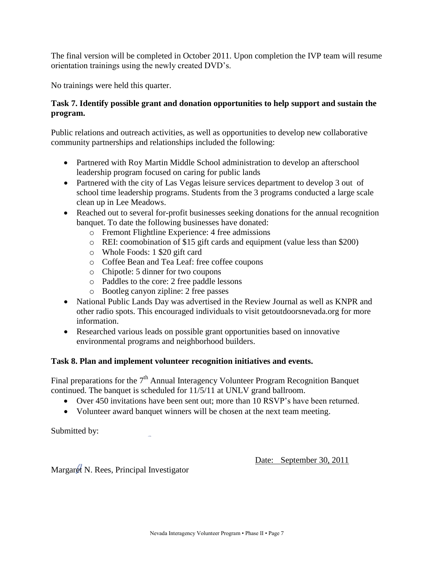The final version will be completed in October 2011. Upon completion the IVP team will resume orientation trainings using the newly created DVD's.

No trainings were held this quarter.

# **Task 7. Identify possible grant and donation opportunities to help support and sustain the program.**

Public relations and outreach activities, as well as opportunities to develop new collaborative community partnerships and relationships included the following:

- Partnered with Roy Martin Middle School administration to develop an afterschool leadership program focused on caring for public lands
- Partnered with the city of Las Vegas leisure services department to develop 3 out of school time leadership programs. Students from the 3 programs conducted a large scale clean up in Lee Meadows.
- Reached out to several for-profit businesses seeking donations for the annual recognition banquet. To date the following businesses have donated:
	- o Fremont Flightline Experience: 4 free admissions
	- o REI: coomobination of \$15 gift cards and equipment (value less than \$200)
	- o Whole Foods: 1 \$20 gift card
	- o Coffee Bean and Tea Leaf: free coffee coupons
	- o Chipotle: 5 dinner for two coupons
	- o Paddles to the core: 2 free paddle lessons
	- o Bootleg canyon zipline: 2 free passes
- National Public Lands Day was advertised in the Review Journal as well as KNPR and other radio spots. This encouraged individuals to visit getoutdoorsnevada.org for more information.
- Researched various leads on possible grant opportunities based on innovative environmental programs and neighborhood builders.

# **Task 8. Plan and implement volunteer recognition initiatives and events.**

Final preparations for the  $7<sup>th</sup>$  Annual Interagency Volunteer Program Recognition Banquet continued. The banquet is scheduled for 11/5/11 at UNLV grand ballroom.

- Over 450 invitations have been sent out; more than 10 RSVP's have been returned.
- Volunteer award banquet winners will be chosen at the next team meeting.

Submitted by:

Date: September 30, 2011

Margaret N. Rees, Principal Investigator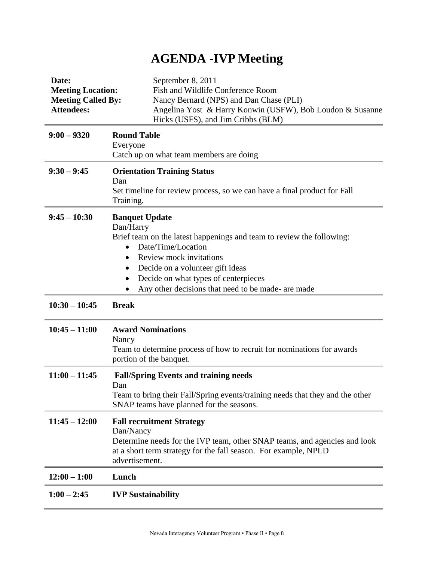# **AGENDA -IVP Meeting**

| Date:<br><b>Meeting Location:</b><br><b>Meeting Called By:</b><br><b>Attendees:</b> | September 8, 2011<br>Fish and Wildlife Conference Room<br>Nancy Bernard (NPS) and Dan Chase (PLI)<br>Angelina Yost & Harry Konwin (USFW), Bob Loudon & Susanne<br>Hicks (USFS), and Jim Cribbs (BLM)                                                                                                                                              |
|-------------------------------------------------------------------------------------|---------------------------------------------------------------------------------------------------------------------------------------------------------------------------------------------------------------------------------------------------------------------------------------------------------------------------------------------------|
| $9:00 - 9320$                                                                       | <b>Round Table</b><br>Everyone<br>Catch up on what team members are doing                                                                                                                                                                                                                                                                         |
| $9:30 - 9:45$                                                                       | <b>Orientation Training Status</b><br>Dan<br>Set timeline for review process, so we can have a final product for Fall<br>Training.                                                                                                                                                                                                                |
| $9:45 - 10:30$                                                                      | <b>Banquet Update</b><br>Dan/Harry<br>Brief team on the latest happenings and team to review the following:<br>Date/Time/Location<br>$\bullet$<br><b>Review mock invitations</b><br>$\bullet$<br>Decide on a volunteer gift ideas<br>$\bullet$<br>Decide on what types of centerpieces<br>٠<br>Any other decisions that need to be made- are made |
| $10:30 - 10:45$                                                                     | <b>Break</b>                                                                                                                                                                                                                                                                                                                                      |
| $10:45 - 11:00$                                                                     | <b>Award Nominations</b><br>Nancy<br>Team to determine process of how to recruit for nominations for awards<br>portion of the banquet.                                                                                                                                                                                                            |
| $11:00 - 11:45$                                                                     | <b>Fall/Spring Events and training needs</b><br>Dan<br>Team to bring their Fall/Spring events/training needs that they and the other<br>SNAP teams have planned for the seasons.                                                                                                                                                                  |
| $11:45 - 12:00$                                                                     | <b>Fall recruitment Strategy</b><br>Dan/Nancy<br>Determine needs for the IVP team, other SNAP teams, and agencies and look<br>at a short term strategy for the fall season. For example, NPLD<br>advertisement.                                                                                                                                   |
| $12:00 - 1:00$                                                                      | Lunch                                                                                                                                                                                                                                                                                                                                             |
| $1:00 - 2:45$                                                                       | <b>IVP Sustainability</b>                                                                                                                                                                                                                                                                                                                         |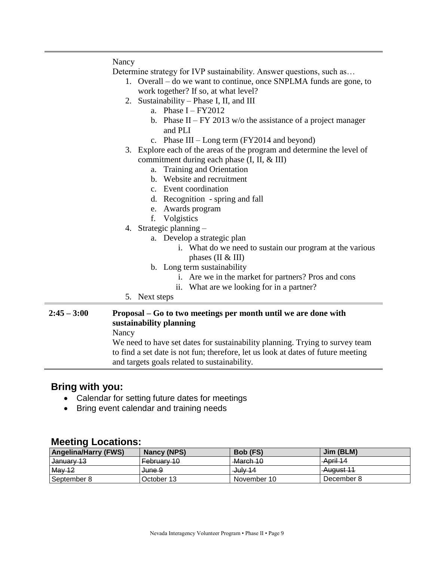|               | Nancy                                                                                     |  |
|---------------|-------------------------------------------------------------------------------------------|--|
|               | Determine strategy for IVP sustainability. Answer questions, such as                      |  |
|               | 1. Overall – do we want to continue, once SNPLMA funds are gone, to                       |  |
|               | work together? If so, at what level?                                                      |  |
|               | 2. Sustainability – Phase I, II, and III                                                  |  |
|               | a. Phase $I - FY2012$                                                                     |  |
|               | b. Phase II – FY 2013 w/o the assistance of a project manager                             |  |
|               | and PLI                                                                                   |  |
|               | c. Phase $III$ – Long term (FY2014 and beyond)                                            |  |
|               | 3. Explore each of the areas of the program and determine the level of                    |  |
|               | commitment during each phase (I, II, & III)                                               |  |
|               | a. Training and Orientation                                                               |  |
|               | b. Website and recruitment                                                                |  |
|               | c. Event coordination                                                                     |  |
|               | d. Recognition - spring and fall                                                          |  |
|               | e. Awards program                                                                         |  |
|               | f. Volgistics                                                                             |  |
|               | 4. Strategic planning $-$                                                                 |  |
|               | a. Develop a strategic plan                                                               |  |
|               | i. What do we need to sustain our program at the various                                  |  |
|               | phases ( $\text{II} \& \text{III}$ )                                                      |  |
|               | b. Long term sustainability                                                               |  |
|               | i. Are we in the market for partners? Pros and cons                                       |  |
|               | ii. What are we looking for in a partner?                                                 |  |
|               | 5. Next steps                                                                             |  |
| $2:45 - 3:00$ | Proposal – Go to two meetings per month until we are done with<br>sustainability planning |  |

Nancy

We need to have set dates for sustainability planning. Trying to survey team to find a set date is not fun; therefore, let us look at dates of future meeting and targets goals related to sustainability.

# **Bring with you:**

- Calendar for setting future dates for meetings
- Bring event calendar and training needs

# **Meeting Locations:**

| <b>Angelina/Harry (FWS)</b> | Nancy (NPS)       | Bob (FS)       | Jim (BLM)        |
|-----------------------------|-------------------|----------------|------------------|
| l <del>Januarv 13</del>     | February 10       | March 10       | April 14         |
| May 12                      | <del>June 9</del> | $-\frac{1}{2}$ | <b>August 11</b> |
| September 8                 | October 13        | November 10    | December 8       |